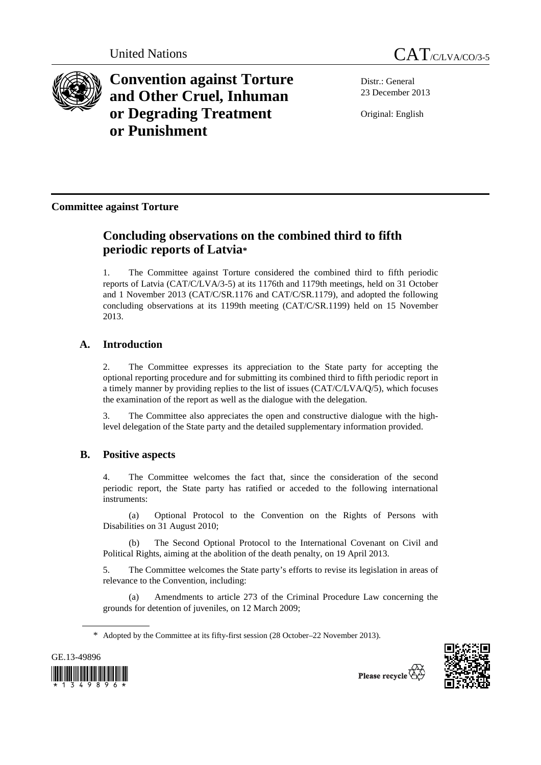



**Convention against Torture and Other Cruel, Inhuman or Degrading Treatment or Punishment**

Distr.: General 23 December 2013

Original: English

## **Committee against Torture**

# **Concluding observations on the combined third to fifth periodic reports of Latvia\***

1. The Committee against Torture considered the combined third to fifth periodic reports of Latvia (CAT/C/LVA/3-5) at its 1176th and 1179th meetings, held on 31 October and 1 November 2013 (CAT/C/SR.1176 and CAT/C/SR.1179), and adopted the following concluding observations at its 1199th meeting (CAT/C/SR.1199) held on 15 November 2013.

## **A. Introduction**

2. The Committee expresses its appreciation to the State party for accepting the optional reporting procedure and for submitting its combined third to fifth periodic report in a timely manner by providing replies to the list of issues (CAT/C/LVA/Q/5), which focuses the examination of the report as well as the dialogue with the delegation.

3. The Committee also appreciates the open and constructive dialogue with the highlevel delegation of the State party and the detailed supplementary information provided.

## **B. Positive aspects**

4. The Committee welcomes the fact that, since the consideration of the second periodic report, the State party has ratified or acceded to the following international instruments:

 (a) Optional Protocol to the Convention on the Rights of Persons with Disabilities on 31 August 2010;

 (b) The Second Optional Protocol to the International Covenant on Civil and Political Rights, aiming at the abolition of the death penalty, on 19 April 2013.

5. The Committee welcomes the State party's efforts to revise its legislation in areas of relevance to the Convention, including:

 (a) Amendments to article 273 of the Criminal Procedure Law concerning the grounds for detention of juveniles, on 12 March 2009;

\* Adopted by the Committee at its fifty-first session (28 October–22 November 2013).



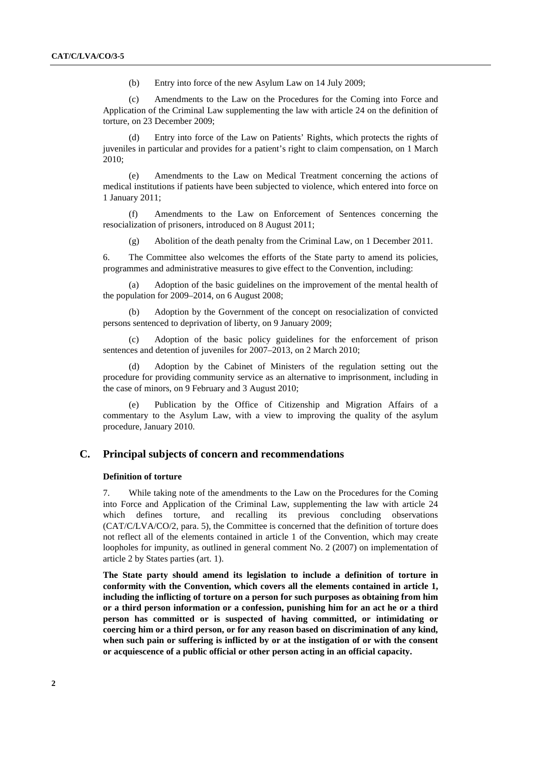(b) Entry into force of the new Asylum Law on 14 July 2009;

 (c) Amendments to the Law on the Procedures for the Coming into Force and Application of the Criminal Law supplementing the law with article 24 on the definition of torture, on 23 December 2009;

 (d) Entry into force of the Law on Patients' Rights, which protects the rights of juveniles in particular and provides for a patient's right to claim compensation, on 1 March 2010;

(e) Amendments to the Law on Medical Treatment concerning the actions of medical institutions if patients have been subjected to violence, which entered into force on 1 January 2011;

 (f) Amendments to the Law on Enforcement of Sentences concerning the resocialization of prisoners, introduced on 8 August 2011;

(g) Abolition of the death penalty from the Criminal Law, on 1 December 2011.

6. The Committee also welcomes the efforts of the State party to amend its policies, programmes and administrative measures to give effect to the Convention, including:

 (a) Adoption of the basic guidelines on the improvement of the mental health of the population for 2009–2014, on 6 August 2008;

 (b) Adoption by the Government of the concept on resocialization of convicted persons sentenced to deprivation of liberty, on 9 January 2009;

Adoption of the basic policy guidelines for the enforcement of prison sentences and detention of juveniles for 2007–2013, on 2 March 2010;

 (d) Adoption by the Cabinet of Ministers of the regulation setting out the procedure for providing community service as an alternative to imprisonment, including in the case of minors, on 9 February and 3 August 2010;

Publication by the Office of Citizenship and Migration Affairs of a commentary to the Asylum Law, with a view to improving the quality of the asylum procedure, January 2010.

## **C. Principal subjects of concern and recommendations**

### **Definition of torture**

7. While taking note of the amendments to the Law on the Procedures for the Coming into Force and Application of the Criminal Law, supplementing the law with article 24 which defines torture, and recalling its previous concluding observations (CAT/C/LVA/CO/2, para. 5), the Committee is concerned that the definition of torture does not reflect all of the elements contained in article 1 of the Convention, which may create loopholes for impunity, as outlined in general comment No. 2 (2007) on implementation of article 2 by States parties (art. 1).

**The State party should amend its legislation to include a definition of torture in conformity with the Convention, which covers all the elements contained in article 1, including the inflicting of torture on a person for such purposes as obtaining from him or a third person information or a confession, punishing him for an act he or a third person has committed or is suspected of having committed, or intimidating or coercing him or a third person, or for any reason based on discrimination of any kind, when such pain or suffering is inflicted by or at the instigation of or with the consent or acquiescence of a public official or other person acting in an official capacity.**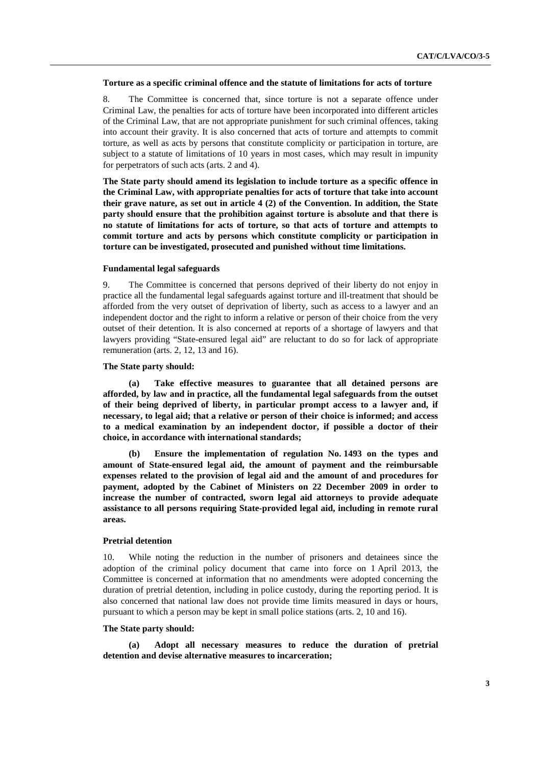#### **Torture as a specific criminal offence and the statute of limitations for acts of torture**

8. The Committee is concerned that, since torture is not a separate offence under Criminal Law, the penalties for acts of torture have been incorporated into different articles of the Criminal Law, that are not appropriate punishment for such criminal offences, taking into account their gravity. It is also concerned that acts of torture and attempts to commit torture, as well as acts by persons that constitute complicity or participation in torture, are subject to a statute of limitations of 10 years in most cases, which may result in impunity for perpetrators of such acts (arts. 2 and 4).

**The State party should amend its legislation to include torture as a specific offence in the Criminal Law, with appropriate penalties for acts of torture that take into account their grave nature, as set out in article 4 (2) of the Convention. In addition, the State party should ensure that the prohibition against torture is absolute and that there is no statute of limitations for acts of torture, so that acts of torture and attempts to commit torture and acts by persons which constitute complicity or participation in torture can be investigated, prosecuted and punished without time limitations.** 

#### **Fundamental legal safeguards**

9. The Committee is concerned that persons deprived of their liberty do not enjoy in practice all the fundamental legal safeguards against torture and ill-treatment that should be afforded from the very outset of deprivation of liberty, such as access to a lawyer and an independent doctor and the right to inform a relative or person of their choice from the very outset of their detention. It is also concerned at reports of a shortage of lawyers and that lawyers providing "State-ensured legal aid" are reluctant to do so for lack of appropriate remuneration (arts. 2, 12, 13 and 16).

#### **The State party should:**

**(a) Take effective measures to guarantee that all detained persons are afforded, by law and in practice, all the fundamental legal safeguards from the outset of their being deprived of liberty, in particular prompt access to a lawyer and, if necessary, to legal aid; that a relative or person of their choice is informed; and access to a medical examination by an independent doctor, if possible a doctor of their choice, in accordance with international standards;** 

 **(b) Ensure the implementation of regulation No. 1493 on the types and amount of State-ensured legal aid, the amount of payment and the reimbursable expenses related to the provision of legal aid and the amount of and procedures for payment, adopted by the Cabinet of Ministers on 22 December 2009 in order to increase the number of contracted, sworn legal aid attorneys to provide adequate assistance to all persons requiring State-provided legal aid, including in remote rural areas.** 

## **Pretrial detention**

10. While noting the reduction in the number of prisoners and detainees since the adoption of the criminal policy document that came into force on 1 April 2013, the Committee is concerned at information that no amendments were adopted concerning the duration of pretrial detention, including in police custody, during the reporting period. It is also concerned that national law does not provide time limits measured in days or hours, pursuant to which a person may be kept in small police stations (arts. 2, 10 and 16).

#### **The State party should:**

Adopt all necessary measures to reduce the duration of pretrial **detention and devise alternative measures to incarceration;**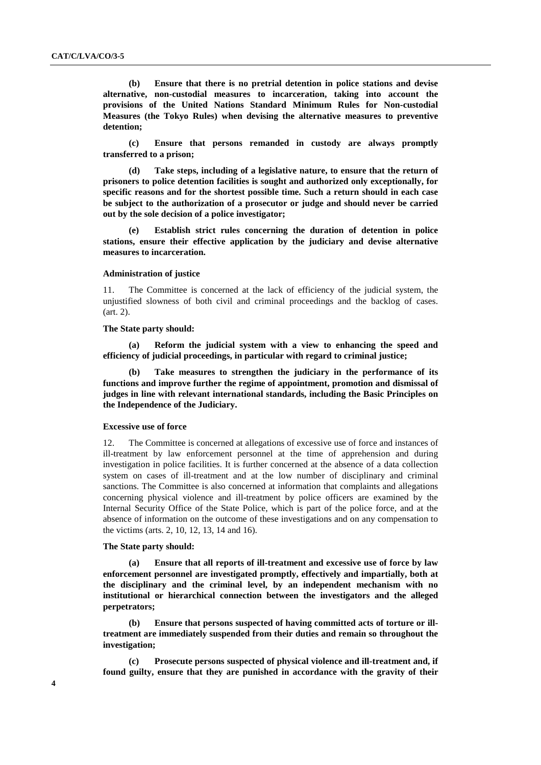**(b) Ensure that there is no pretrial detention in police stations and devise alternative, non-custodial measures to incarceration, taking into account the provisions of the United Nations Standard Minimum Rules for Non-custodial Measures (the Tokyo Rules) when devising the alternative measures to preventive detention;** 

**(c) Ensure that persons remanded in custody are always promptly transferred to a prison;** 

**(d) Take steps, including of a legislative nature, to ensure that the return of prisoners to police detention facilities is sought and authorized only exceptionally, for specific reasons and for the shortest possible time. Such a return should in each case be subject to the authorization of a prosecutor or judge and should never be carried out by the sole decision of a police investigator;** 

**(e) Establish strict rules concerning the duration of detention in police stations, ensure their effective application by the judiciary and devise alternative measures to incarceration.** 

## **Administration of justice**

11. The Committee is concerned at the lack of efficiency of the judicial system, the unjustified slowness of both civil and criminal proceedings and the backlog of cases. (art. 2).

#### **The State party should:**

 **(a) Reform the judicial system with a view to enhancing the speed and efficiency of judicial proceedings, in particular with regard to criminal justice;** 

 **(b) Take measures to strengthen the judiciary in the performance of its functions and improve further the regime of appointment, promotion and dismissal of judges in line with relevant international standards, including the Basic Principles on the Independence of the Judiciary.** 

### **Excessive use of force**

12. The Committee is concerned at allegations of excessive use of force and instances of ill-treatment by law enforcement personnel at the time of apprehension and during investigation in police facilities. It is further concerned at the absence of a data collection system on cases of ill-treatment and at the low number of disciplinary and criminal sanctions. The Committee is also concerned at information that complaints and allegations concerning physical violence and ill-treatment by police officers are examined by the Internal Security Office of the State Police, which is part of the police force, and at the absence of information on the outcome of these investigations and on any compensation to the victims (arts. 2, 10, 12, 13, 14 and 16).

## **The State party should:**

**Ensure that all reports of ill-treatment and excessive use of force by law enforcement personnel are investigated promptly, effectively and impartially, both at the disciplinary and the criminal level, by an independent mechanism with no institutional or hierarchical connection between the investigators and the alleged perpetrators;** 

**(b) Ensure that persons suspected of having committed acts of torture or illtreatment are immediately suspended from their duties and remain so throughout the investigation;** 

**(c) Prosecute persons suspected of physical violence and ill-treatment and, if found guilty, ensure that they are punished in accordance with the gravity of their**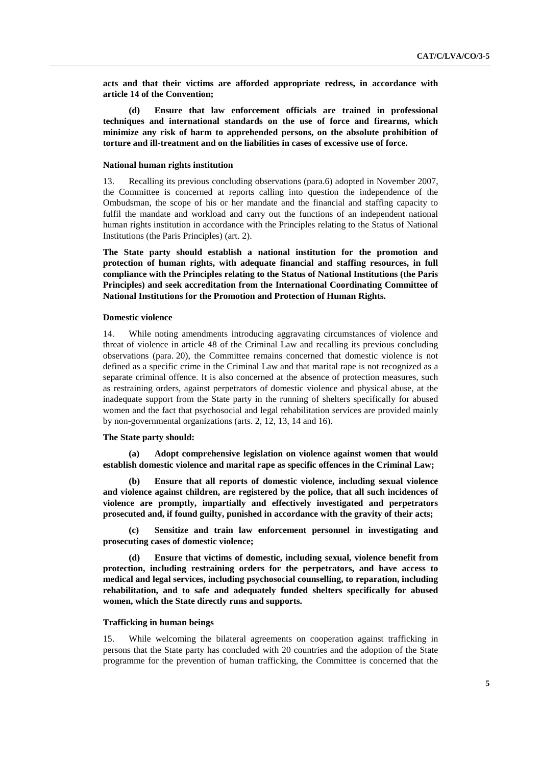**acts and that their victims are afforded appropriate redress, in accordance with article 14 of the Convention;** 

 **(d) Ensure that law enforcement officials are trained in professional techniques and international standards on the use of force and firearms, which minimize any risk of harm to apprehended persons, on the absolute prohibition of torture and ill-treatment and on the liabilities in cases of excessive use of force.** 

#### **National human rights institution**

13. Recalling its previous concluding observations (para.6) adopted in November 2007, the Committee is concerned at reports calling into question the independence of the Ombudsman, the scope of his or her mandate and the financial and staffing capacity to fulfil the mandate and workload and carry out the functions of an independent national human rights institution in accordance with the Principles relating to the Status of National Institutions (the Paris Principles) (art. 2).

**The State party should establish a national institution for the promotion and protection of human rights, with adequate financial and staffing resources, in full compliance with the Principles relating to the Status of National Institutions (the Paris Principles) and seek accreditation from the International Coordinating Committee of National Institutions for the Promotion and Protection of Human Rights.** 

## **Domestic violence**

14. While noting amendments introducing aggravating circumstances of violence and threat of violence in article 48 of the Criminal Law and recalling its previous concluding observations (para. 20), the Committee remains concerned that domestic violence is not defined as a specific crime in the Criminal Law and that marital rape is not recognized as a separate criminal offence. It is also concerned at the absence of protection measures, such as restraining orders, against perpetrators of domestic violence and physical abuse, at the inadequate support from the State party in the running of shelters specifically for abused women and the fact that psychosocial and legal rehabilitation services are provided mainly by non-governmental organizations (arts. 2, 12, 13, 14 and 16).

#### **The State party should:**

 **(a) Adopt comprehensive legislation on violence against women that would establish domestic violence and marital rape as specific offences in the Criminal Law;** 

 **(b) Ensure that all reports of domestic violence, including sexual violence and violence against children, are registered by the police, that all such incidences of violence are promptly, impartially and effectively investigated and perpetrators prosecuted and, if found guilty, punished in accordance with the gravity of their acts;** 

 **(c) Sensitize and train law enforcement personnel in investigating and prosecuting cases of domestic violence;** 

 **(d) Ensure that victims of domestic, including sexual, violence benefit from protection, including restraining orders for the perpetrators, and have access to medical and legal services, including psychosocial counselling, to reparation, including rehabilitation, and to safe and adequately funded shelters specifically for abused women, which the State directly runs and supports.** 

#### **Trafficking in human beings**

15. While welcoming the bilateral agreements on cooperation against trafficking in persons that the State party has concluded with 20 countries and the adoption of the State programme for the prevention of human trafficking, the Committee is concerned that the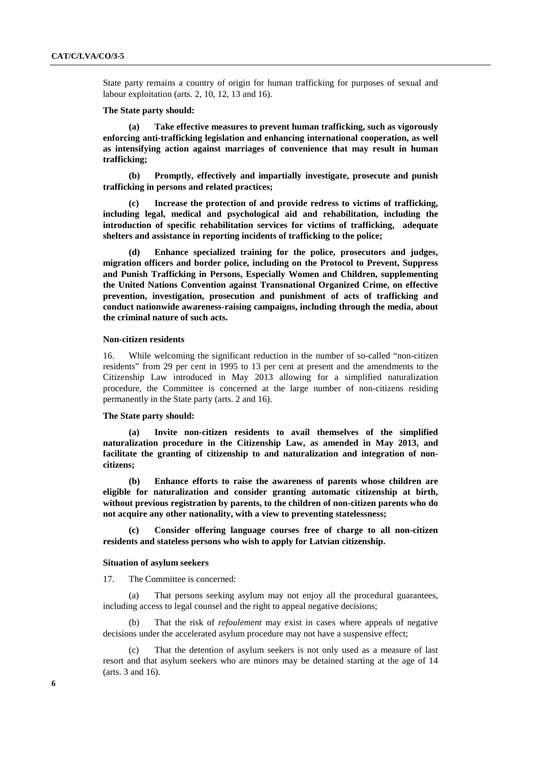State party remains a country of origin for human trafficking for purposes of sexual and labour exploitation (arts. 2, 10, 12, 13 and 16).

#### **The State party should:**

 **(a) Take effective measures to prevent human trafficking, such as vigorously enforcing anti-trafficking legislation and enhancing international cooperation, as well as intensifying action against marriages of convenience that may result in human trafficking;** 

 **(b) Promptly, effectively and impartially investigate, prosecute and punish trafficking in persons and related practices;** 

Increase the protection of and provide redress to victims of trafficking, **including legal, medical and psychological aid and rehabilitation, including the introduction of specific rehabilitation services for victims of trafficking, adequate shelters and assistance in reporting incidents of trafficking to the police;** 

 **(d) Enhance specialized training for the police, prosecutors and judges, migration officers and border police, including on the Protocol to Prevent, Suppress and Punish Trafficking in Persons, Especially Women and Children, supplementing the United Nations Convention against Transnational Organized Crime, on effective prevention, investigation, prosecution and punishment of acts of trafficking and conduct nationwide awareness-raising campaigns, including through the media, about the criminal nature of such acts.** 

#### **Non-citizen residents**

16. While welcoming the significant reduction in the number of so-called "non-citizen residents" from 29 per cent in 1995 to 13 per cent at present and the amendments to the Citizenship Law introduced in May 2013 allowing for a simplified naturalization procedure, the Committee is concerned at the large number of non-citizens residing permanently in the State party (arts. 2 and 16).

## **The State party should:**

 **(a) Invite non-citizen residents to avail themselves of the simplified naturalization procedure in the Citizenship Law, as amended in May 2013, and facilitate the granting of citizenship to and naturalization and integration of noncitizens;** 

 **(b) Enhance efforts to raise the awareness of parents whose children are eligible for naturalization and consider granting automatic citizenship at birth, without previous registration by parents, to the children of non-citizen parents who do not acquire any other nationality, with a view to preventing statelessness;** 

 **(c) Consider offering language courses free of charge to all non-citizen residents and stateless persons who wish to apply for Latvian citizenship.** 

#### **Situation of asylum seekers**

17. The Committee is concerned:

 (a) That persons seeking asylum may not enjoy all the procedural guarantees, including access to legal counsel and the right to appeal negative decisions;

 (b) That the risk of *refoulement* may exist in cases where appeals of negative decisions under the accelerated asylum procedure may not have a suspensive effect;

That the detention of asylum seekers is not only used as a measure of last resort and that asylum seekers who are minors may be detained starting at the age of 14 (arts. 3 and 16).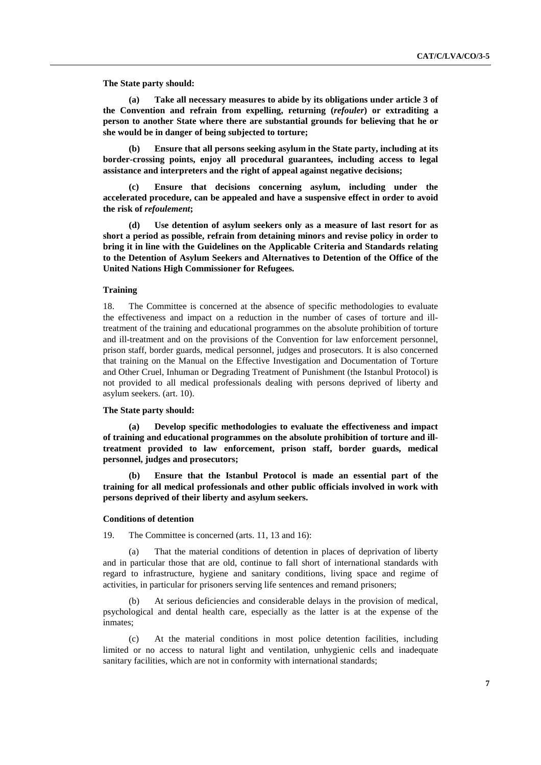**The State party should:** 

 **(a) Take all necessary measures to abide by its obligations under article 3 of the Convention and refrain from expelling, returning (***refouler***) or extraditing a person to another State where there are substantial grounds for believing that he or she would be in danger of being subjected to torture;** 

 **(b) Ensure that all persons seeking asylum in the State party, including at its border-crossing points, enjoy all procedural guarantees, including access to legal assistance and interpreters and the right of appeal against negative decisions;** 

 **(c) Ensure that decisions concerning asylum, including under the accelerated procedure, can be appealed and have a suspensive effect in order to avoid the risk of** *refoulement***;** 

 **(d) Use detention of asylum seekers only as a measure of last resort for as short a period as possible, refrain from detaining minors and revise policy in order to bring it in line with the Guidelines on the Applicable Criteria and Standards relating to the Detention of Asylum Seekers and Alternatives to Detention of the Office of the United Nations High Commissioner for Refugees.**

#### **Training**

18. The Committee is concerned at the absence of specific methodologies to evaluate the effectiveness and impact on a reduction in the number of cases of torture and illtreatment of the training and educational programmes on the absolute prohibition of torture and ill-treatment and on the provisions of the Convention for law enforcement personnel, prison staff, border guards, medical personnel, judges and prosecutors. It is also concerned that training on the Manual on the Effective Investigation and Documentation of Torture and Other Cruel, Inhuman or Degrading Treatment of Punishment (the Istanbul Protocol) is not provided to all medical professionals dealing with persons deprived of liberty and asylum seekers. (art. 10).

#### **The State party should:**

 **(a) Develop specific methodologies to evaluate the effectiveness and impact of training and educational programmes on the absolute prohibition of torture and illtreatment provided to law enforcement, prison staff, border guards, medical personnel, judges and prosecutors;** 

 **(b) Ensure that the Istanbul Protocol is made an essential part of the training for all medical professionals and other public officials involved in work with persons deprived of their liberty and asylum seekers.** 

#### **Conditions of detention**

19. The Committee is concerned (arts. 11, 13 and 16):

 (a) That the material conditions of detention in places of deprivation of liberty and in particular those that are old, continue to fall short of international standards with regard to infrastructure, hygiene and sanitary conditions, living space and regime of activities, in particular for prisoners serving life sentences and remand prisoners;

At serious deficiencies and considerable delays in the provision of medical, psychological and dental health care, especially as the latter is at the expense of the inmates;

 (c) At the material conditions in most police detention facilities, including limited or no access to natural light and ventilation, unhygienic cells and inadequate sanitary facilities, which are not in conformity with international standards;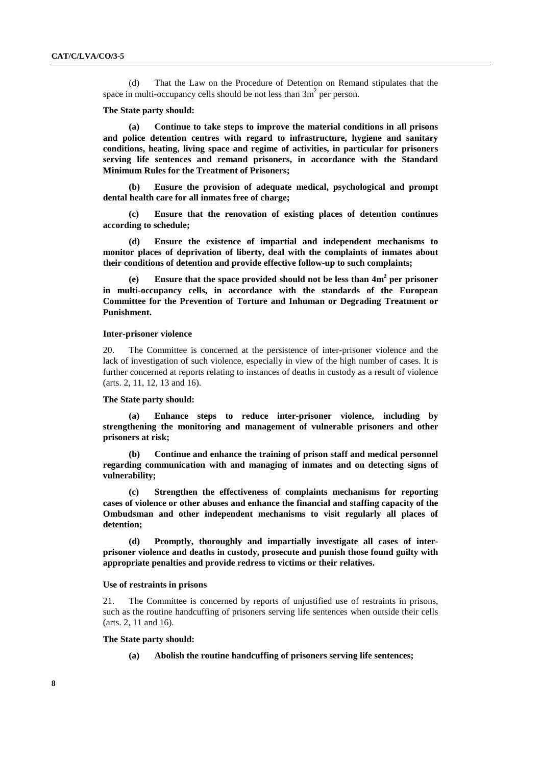(d) That the Law on the Procedure of Detention on Remand stipulates that the space in multi-occupancy cells should be not less than  $3m<sup>2</sup>$  per person.

#### **The State party should:**

 **(a) Continue to take steps to improve the material conditions in all prisons and police detention centres with regard to infrastructure, hygiene and sanitary conditions, heating, living space and regime of activities, in particular for prisoners serving life sentences and remand prisoners, in accordance with the Standard Minimum Rules for the Treatment of Prisoners;** 

 **(b) Ensure the provision of adequate medical, psychological and prompt dental health care for all inmates free of charge;** 

 **(c) Ensure that the renovation of existing places of detention continues according to schedule;** 

 **(d) Ensure the existence of impartial and independent mechanisms to monitor places of deprivation of liberty, deal with the complaints of inmates about their conditions of detention and provide effective follow-up to such complaints;** 

(e) Ensure that the space provided should not be less than  $4m^2$  per prisoner **in multi-occupancy cells, in accordance with the standards of the European Committee for the Prevention of Torture and Inhuman or Degrading Treatment or Punishment.** 

#### **Inter-prisoner violence**

20. The Committee is concerned at the persistence of inter-prisoner violence and the lack of investigation of such violence, especially in view of the high number of cases. It is further concerned at reports relating to instances of deaths in custody as a result of violence (arts. 2, 11, 12, 13 and 16).

## **The State party should:**

**Enhance steps to reduce inter-prisoner violence, including by strengthening the monitoring and management of vulnerable prisoners and other prisoners at risk;** 

 **(b) Continue and enhance the training of prison staff and medical personnel regarding communication with and managing of inmates and on detecting signs of vulnerability;** 

 **(c) Strengthen the effectiveness of complaints mechanisms for reporting cases of violence or other abuses and enhance the financial and staffing capacity of the Ombudsman and other independent mechanisms to visit regularly all places of detention;** 

 **(d) Promptly, thoroughly and impartially investigate all cases of interprisoner violence and deaths in custody, prosecute and punish those found guilty with appropriate penalties and provide redress to victims or their relatives.** 

#### **Use of restraints in prisons**

21. The Committee is concerned by reports of unjustified use of restraints in prisons, such as the routine handcuffing of prisoners serving life sentences when outside their cells (arts. 2, 11 and 16).

#### **The State party should:**

 **(a) Abolish the routine handcuffing of prisoners serving life sentences;**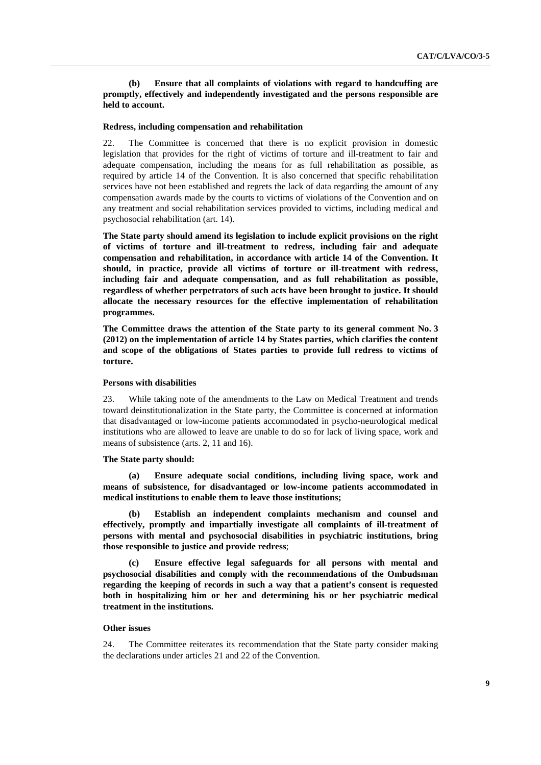Ensure that all complaints of violations with regard to handcuffing are **promptly, effectively and independently investigated and the persons responsible are held to account.** 

#### **Redress, including compensation and rehabilitation**

22. The Committee is concerned that there is no explicit provision in domestic legislation that provides for the right of victims of torture and ill-treatment to fair and adequate compensation, including the means for as full rehabilitation as possible, as required by article 14 of the Convention. It is also concerned that specific rehabilitation services have not been established and regrets the lack of data regarding the amount of any compensation awards made by the courts to victims of violations of the Convention and on any treatment and social rehabilitation services provided to victims, including medical and psychosocial rehabilitation (art. 14).

**The State party should amend its legislation to include explicit provisions on the right of victims of torture and ill-treatment to redress, including fair and adequate compensation and rehabilitation, in accordance with article 14 of the Convention. It should, in practice, provide all victims of torture or ill-treatment with redress, including fair and adequate compensation, and as full rehabilitation as possible, regardless of whether perpetrators of such acts have been brought to justice. It should allocate the necessary resources for the effective implementation of rehabilitation programmes.** 

**The Committee draws the attention of the State party to its general comment No. 3 (2012) on the implementation of article 14 by States parties, which clarifies the content and scope of the obligations of States parties to provide full redress to victims of torture.** 

## **Persons with disabilities**

23. While taking note of the amendments to the Law on Medical Treatment and trends toward deinstitutionalization in the State party, the Committee is concerned at information that disadvantaged or low-income patients accommodated in psycho-neurological medical institutions who are allowed to leave are unable to do so for lack of living space, work and means of subsistence (arts. 2, 11 and 16).

#### **The State party should:**

 **(a) Ensure adequate social conditions, including living space, work and means of subsistence, for disadvantaged or low-income patients accommodated in medical institutions to enable them to leave those institutions;** 

 **(b) Establish an independent complaints mechanism and counsel and effectively, promptly and impartially investigate all complaints of ill-treatment of persons with mental and psychosocial disabilities in psychiatric institutions, bring those responsible to justice and provide redress**;

**(c) Ensure effective legal safeguards for all persons with mental and psychosocial disabilities and comply with the recommendations of the Ombudsman regarding the keeping of records in such a way that a patient's consent is requested both in hospitalizing him or her and determining his or her psychiatric medical treatment in the institutions.** 

#### **Other issues**

24. The Committee reiterates its recommendation that the State party consider making the declarations under articles 21 and 22 of the Convention.